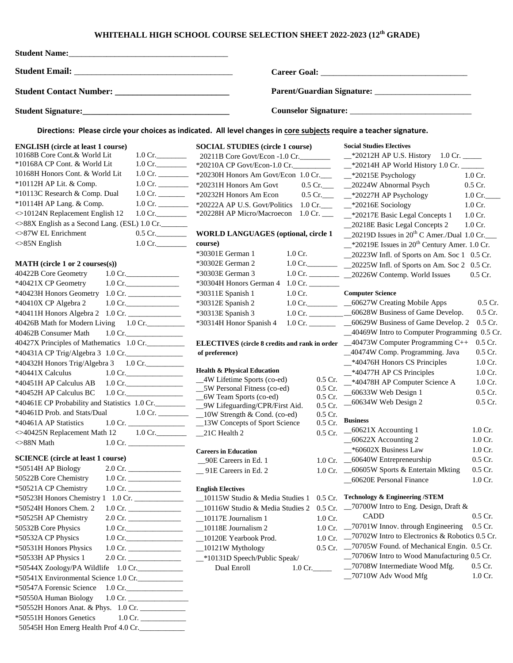## **WHITEHALL HIGH SCHOOL COURSE SELECTION SHEET 2022-2023 (12th GRADE)**

| <b>Student Name:</b>                                                                                                                                                                                                                                                                                                                                                                                                                                                                                                                                                                                                                                                                                                                                                                                                                                                                                                                                                                                                                                                                                                                                                                                                                                                                                                                                                                                                                                                                                                        |                                                                                                                                                                                                                                                                                                                                                                                                                                                                                                                                                                                                                                                                                                                                                                                                                                                                                                                                                                                                                                                                                                                                                                                                                                                                                                                                                                                                                                                                                                                                                                                                                                                                                                                                                                                                                                                                                                                                                                                                                                                                                                                                                                                                                                                                                                                                                                                                                                                                                                                                                                                                                                                                                                                                                                                                                                                                                                                                                                                                                                                                                                                                                                                                                                                                                                                                                                                                                                                                                                                             |
|-----------------------------------------------------------------------------------------------------------------------------------------------------------------------------------------------------------------------------------------------------------------------------------------------------------------------------------------------------------------------------------------------------------------------------------------------------------------------------------------------------------------------------------------------------------------------------------------------------------------------------------------------------------------------------------------------------------------------------------------------------------------------------------------------------------------------------------------------------------------------------------------------------------------------------------------------------------------------------------------------------------------------------------------------------------------------------------------------------------------------------------------------------------------------------------------------------------------------------------------------------------------------------------------------------------------------------------------------------------------------------------------------------------------------------------------------------------------------------------------------------------------------------|-----------------------------------------------------------------------------------------------------------------------------------------------------------------------------------------------------------------------------------------------------------------------------------------------------------------------------------------------------------------------------------------------------------------------------------------------------------------------------------------------------------------------------------------------------------------------------------------------------------------------------------------------------------------------------------------------------------------------------------------------------------------------------------------------------------------------------------------------------------------------------------------------------------------------------------------------------------------------------------------------------------------------------------------------------------------------------------------------------------------------------------------------------------------------------------------------------------------------------------------------------------------------------------------------------------------------------------------------------------------------------------------------------------------------------------------------------------------------------------------------------------------------------------------------------------------------------------------------------------------------------------------------------------------------------------------------------------------------------------------------------------------------------------------------------------------------------------------------------------------------------------------------------------------------------------------------------------------------------------------------------------------------------------------------------------------------------------------------------------------------------------------------------------------------------------------------------------------------------------------------------------------------------------------------------------------------------------------------------------------------------------------------------------------------------------------------------------------------------------------------------------------------------------------------------------------------------------------------------------------------------------------------------------------------------------------------------------------------------------------------------------------------------------------------------------------------------------------------------------------------------------------------------------------------------------------------------------------------------------------------------------------------------------------------------------------------------------------------------------------------------------------------------------------------------------------------------------------------------------------------------------------------------------------------------------------------------------------------------------------------------------------------------------------------------------------------------------------------------------------------------------------------------|
|                                                                                                                                                                                                                                                                                                                                                                                                                                                                                                                                                                                                                                                                                                                                                                                                                                                                                                                                                                                                                                                                                                                                                                                                                                                                                                                                                                                                                                                                                                                             |                                                                                                                                                                                                                                                                                                                                                                                                                                                                                                                                                                                                                                                                                                                                                                                                                                                                                                                                                                                                                                                                                                                                                                                                                                                                                                                                                                                                                                                                                                                                                                                                                                                                                                                                                                                                                                                                                                                                                                                                                                                                                                                                                                                                                                                                                                                                                                                                                                                                                                                                                                                                                                                                                                                                                                                                                                                                                                                                                                                                                                                                                                                                                                                                                                                                                                                                                                                                                                                                                                                             |
|                                                                                                                                                                                                                                                                                                                                                                                                                                                                                                                                                                                                                                                                                                                                                                                                                                                                                                                                                                                                                                                                                                                                                                                                                                                                                                                                                                                                                                                                                                                             |                                                                                                                                                                                                                                                                                                                                                                                                                                                                                                                                                                                                                                                                                                                                                                                                                                                                                                                                                                                                                                                                                                                                                                                                                                                                                                                                                                                                                                                                                                                                                                                                                                                                                                                                                                                                                                                                                                                                                                                                                                                                                                                                                                                                                                                                                                                                                                                                                                                                                                                                                                                                                                                                                                                                                                                                                                                                                                                                                                                                                                                                                                                                                                                                                                                                                                                                                                                                                                                                                                                             |
|                                                                                                                                                                                                                                                                                                                                                                                                                                                                                                                                                                                                                                                                                                                                                                                                                                                                                                                                                                                                                                                                                                                                                                                                                                                                                                                                                                                                                                                                                                                             |                                                                                                                                                                                                                                                                                                                                                                                                                                                                                                                                                                                                                                                                                                                                                                                                                                                                                                                                                                                                                                                                                                                                                                                                                                                                                                                                                                                                                                                                                                                                                                                                                                                                                                                                                                                                                                                                                                                                                                                                                                                                                                                                                                                                                                                                                                                                                                                                                                                                                                                                                                                                                                                                                                                                                                                                                                                                                                                                                                                                                                                                                                                                                                                                                                                                                                                                                                                                                                                                                                                             |
|                                                                                                                                                                                                                                                                                                                                                                                                                                                                                                                                                                                                                                                                                                                                                                                                                                                                                                                                                                                                                                                                                                                                                                                                                                                                                                                                                                                                                                                                                                                             | Directions: Please circle your choices as indicated. All level changes in core subjects require a teacher signature.                                                                                                                                                                                                                                                                                                                                                                                                                                                                                                                                                                                                                                                                                                                                                                                                                                                                                                                                                                                                                                                                                                                                                                                                                                                                                                                                                                                                                                                                                                                                                                                                                                                                                                                                                                                                                                                                                                                                                                                                                                                                                                                                                                                                                                                                                                                                                                                                                                                                                                                                                                                                                                                                                                                                                                                                                                                                                                                                                                                                                                                                                                                                                                                                                                                                                                                                                                                                        |
| <b>ENGLISH</b> (circle at least 1 course)<br>10168B Core Cont.& World Lit<br>*10168A CP Cont. & World Lit<br>10168H Honors Cont. & World Lit<br>*10112H AP Lit. & Comp.<br>*10113C Research & Comp. Dual<br>*10114H AP Lang. & Comp.<br><>10124N Replacement English 12<br>◇88X English as a Second Lang. (ESL) 1.0 Cr.<br><>87W EL Enrichment<br>$\ll$ 85N English<br>$MATH$ (circle 1 or 2 courses(s))<br>40422B Core Geometry<br>*40421X CP Geometry<br>$1.0 \text{ Cr.}$<br>*40423H Honors Geometry 1.0 Cr.<br>*40410X CP Algebra 2<br>$1.0 \text{ Cr.}$<br>*40411H Honors Algebra 2 1.0 Cr. _____________<br>40426B Math for Modern Living 1.0 Cr.<br>40462B Consumer Math<br>$1.0 \text{ Cr.}$<br>40427X Principles of Mathematics 1.0 Cr.<br>*40431A CP Trig/Algebra 3 1.0 Cr.<br>*40432H Honors Trig/Algebra 3 1.0 Cr.<br>*40441X Calculus<br>$1.0 \text{ Cr.}$<br>*40451H AP Calculus AB<br>$1.0 \text{ Cr.}$<br>*40452H AP Calculus BC<br><>40425N Replacement Math 12<br>$>88N$ Math<br>$1.0 \text{ Cr.}$<br><b>SCIENCE</b> (circle at least 1 course)<br>*50514H AP Biology<br>50522B Core Chemistry<br>$1.0 \text{ Cr.}$<br>*50521A CP Chemistry<br>$1.0 \text{ Cr.}$<br>*50524H Honors Chem. 2<br>*50525H AP Chemistry<br>$1.0 \text{ Cr.}$<br>50532B Core Physics<br>*50532A CP Physics<br>$1.0 \text{ Cr.}$<br>*50531H Honors Physics<br>*50533H AP Physics 1<br>$2.0 \text{ Cr.}$<br>*50544X Zoology/PA Wildlife 1.0 Cr.<br>*50541X Environmental Science 1.0 Cr.<br>*50547A Forensic Science<br>$1.0$ Cr. | <b>Social Studies Electives</b><br><b>SOCIAL STUDIES</b> (circle 1 course)<br>1.0 Cr.<br>20211B Core Govt/Econ -1.0 Cr. ___________ = *20212H AP U.S. History 1.0 Cr. ____<br>$1.0 \text{ Cr.}$<br>*20210A CP Govt/Econ-1.0 Cr. _____________ = *20214H AP World History 1.0 Cr. _____<br>1.0 Cr. __________ *20230H Honors Am Govt/Econ 1.0 Cr. ___ __ *20215E Psychology<br>$1.0$ Cr.<br>1.0 Cr. __________ *20231H Honors Am Govt<br>0.5 Cr. _____ ___ ___ __ __ __ 20224W Abnormal Psych<br>$0.5$ Cr.<br>0.5 Cr. ___ _ __*20227H AP Psychology<br>*20232H Honors Am Econ<br>$1.0 \,$ Cr.<br>1.0 Cr. $\frac{1}{\sqrt{2}}$<br>*20222A AP U.S. Govt/Politics 1.0 Cr. ___  __*20216E Sociology<br>$1.0$ Cr.<br>$1.0 \, \text{Cr.}$<br>*20228H AP Micro/Macroecon 1.0 Cr. ____ _*20217E Basic Legal Concepts 1<br>$1.0$ Cr.<br>_20218E Basic Legal Concepts 2<br>1.0 Cr.<br>$0.5 \,$ Cr.<br><b>WORLD LANGUAGES (optional, circle 1)</b><br>$\_\$ 20219D Issues in 20 <sup>th</sup> C Amer./Dual 1.0 Cr.<br>$1.0 \text{ Cr.}$<br>course)<br>$-$ *20219E Issues in 20 <sup>th</sup> Century Amer. 1.0 Cr.<br>*30301E German 1<br>$1.0 \,$ Cr.<br>_20223W Infl. of Sports on Am. Soc 1 0.5 Cr.<br>*30302E German 2<br>*30303E German 3<br>1.0 Cr. ____________ _____ 20226W Contemp. World Issues<br>$0.5$ Cr.<br>*30304H Honors German 4<br>$1.0 \,$ Cr. $\qquad \qquad$<br>*30311E Spanish 1<br>$1.0 \, \text{Cr.}$<br><b>Computer Science</b><br>$0.5$ Cr.<br>1.0 Cr. ____________ ___60627W Creating Mobile Apps<br>*30312E Spanish 2<br>1.0 Cr. ____________________60628W Business of Game Develop.<br>0.5 Cr.<br>*30313E Spanish 3<br>1.0 Cr. ___________ ___60629W Business of Game Develop. 2<br>$0.5$ Cr.<br>*30314H Honor Spanish 4<br>_40469W Intro to Computer Programming 0.5 Cr.<br>ELECTIVES (circle 8 credits and rank in order _40473W Computer Programming C++<br>$0.5$ Cr.<br>_40474W Comp. Programming. Java<br>$0.5$ Cr.<br>of preference)<br>_*40476H Honors CS Principles<br>$1.0$ Cr.<br><b>Health &amp; Physical Education</b><br>*40477H AP CS Principles<br>$1.0Cr$ .<br>_4W Lifetime Sports (co-ed)<br>$0.5$ Cr.<br>-*40478H AP Computer Science A<br>$1.0$ Cr.<br>_5W Personal Fitness (co-ed)<br>0.5 Cr.<br>_60633W Web Design 1<br>0.5 Cr.<br>_6W Team Sports (co-ed)<br>$0.5$ Cr.<br>_60634W Web Design 2<br>0.5 Cr.<br>0.5 Cr.<br>$0.5$ Cr.<br><b>Business</b><br>$0.5$ Cr.<br>1.0 Cr.<br>0.5 Cr. $-60621X$ Accounting 1<br>1.0 Cr. 21C Health 2<br>_60622X Accounting 2<br>1.0 Cr.<br>_*60602X Business Law<br>$1.0$ Cr.<br><b>Careers in Education</b><br>1.0 Cr. _60640W Entrepreneurship<br>$0.5$ Cr.<br>_90E Careers in Ed. 1<br>1.0 Cr. - 60605W Sports & Entertain Mkting<br>$0.5$ Cr.<br>_91E Careers in Ed. 2<br>_60620E Personal Finance<br>$1.0$ Cr.<br><b>English Electives</b><br>0.5 Cr. Technology & Engineering /STEM<br>10115W Studio & Media Studies<br>0.5 Cr. -70700W Intro to Eng. Design, Draft &<br>_10116W Studio & Media Studies 2<br>$0.5$ Cr.<br>CADD<br>$\_10117E$ Journalism 1<br>1.0 <sub>Cr.</sub><br>1.0 Cr. -70701W Innov. through Engineering<br>$0.5$ Cr.<br>$\_10118E$ Journalism 2<br>1.0 Cr. -70702W Intro to Electronics & Robotics 0.5 Cr.<br>_10120E Yearbook Prod.<br>0.5 Cr. 20705W Found. of Mechanical Engin. 0.5 Cr.<br>$\_10121W$ Mythology<br>_70706W Intro to Wood Manufacturing 0.5 Cr.<br>_*10131D Speech/Public Speak/<br>_70708W Intermediate Wood Mfg.<br>$0.5$ Cr.<br>Dual Enroll<br>$1.0 \,$ Cr.<br>_70710W Adv Wood Mfg<br>$1.0$ Cr. |
| *50550A Human Biology<br>*50552H Honors Anat. & Phys. 1.0 Cr.<br>*50551H Honors Genetics<br>50545H Hon Emerg Health Prof 4.0 Cr.                                                                                                                                                                                                                                                                                                                                                                                                                                                                                                                                                                                                                                                                                                                                                                                                                                                                                                                                                                                                                                                                                                                                                                                                                                                                                                                                                                                            |                                                                                                                                                                                                                                                                                                                                                                                                                                                                                                                                                                                                                                                                                                                                                                                                                                                                                                                                                                                                                                                                                                                                                                                                                                                                                                                                                                                                                                                                                                                                                                                                                                                                                                                                                                                                                                                                                                                                                                                                                                                                                                                                                                                                                                                                                                                                                                                                                                                                                                                                                                                                                                                                                                                                                                                                                                                                                                                                                                                                                                                                                                                                                                                                                                                                                                                                                                                                                                                                                                                             |